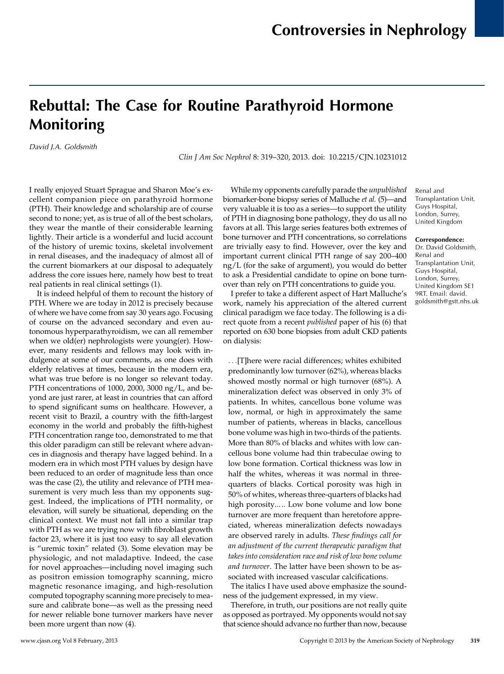## Rebuttal: The Case for Routine Parathyroid Hormone Monitoring

David J.A. Goldsmith

Clin J Am Soc Nephrol 8: 319–320, 2013. doi: 10.2215/CJN.10231012

I really enjoyed Stuart Sprague and Sharon Moe's excellent companion piece on parathyroid hormone (PTH). Their knowledge and scholarship are of course second to none; yet, as is true of all of the best scholars, they wear the mantle of their considerable learning lightly. Their article is a wonderful and lucid account of the history of uremic toxins, skeletal involvement in renal diseases, and the inadequacy of almost all of the current biomarkers at our disposal to adequately address the core issues here, namely how best to treat real patients in real clinical settings (1).

It is indeed helpful of them to recount the history of PTH. Where we are today in 2012 is precisely because of where we have come from say 30 years ago. Focusing of course on the advanced secondary and even autonomous hyperparathyroidism, we can all remember when we old(er) nephrologists were young(er). However, many residents and fellows may look with indulgence at some of our comments, as one does with elderly relatives at times, because in the modern era, what was true before is no longer so relevant today. PTH concentrations of 1000, 2000, 3000 ng/L, and beyond are just rarer, at least in countries that can afford to spend significant sums on healthcare. However, a recent visit to Brazil, a country with the fifth-largest economy in the world and probably the fifth-highest PTH concentration range too, demonstrated to me that this older paradigm can still be relevant where advances in diagnosis and therapy have lagged behind. In a modern era in which most PTH values by design have been reduced to an order of magnitude less than once was the case (2), the utility and relevance of PTH measurement is very much less than my opponents suggest. Indeed, the implications of PTH normality, or elevation, will surely be situational, depending on the clinical context. We must not fall into a similar trap with PTH as we are trying now with fibroblast growth factor 23, where it is just too easy to say all elevation is "uremic toxin" related (3). Some elevation may be physiologic, and not maladaptive. Indeed, the case for novel approaches—including novel imaging such as positron emission tomography scanning, micro magnetic resonance imaging, and high-resolution computed topography scanning more precisely to measure and calibrate bone—as well as the pressing need for newer reliable bone turnover markers have never been more urgent than now (4).

While my opponents carefully parade the unpublished biomarker-bone biopsy series of Malluche et al. (5)—and very valuable it is too as a series—to support the utility of PTH in diagnosing bone pathology, they do us all no favors at all. This large series features both extremes of bone turnover and PTH concentrations, so correlations are trivially easy to find. However, over the key and important current clinical PTH range of say 200–400 ng/L (for the sake of argument), you would do better to ask a Presidential candidate to opine on bone turnover than rely on PTH concentrations to guide you.

I prefer to take a different aspect of Hart Malluche's work, namely his appreciation of the altered current clinical paradigm we face today. The following is a direct quote from a recent published paper of his (6) that reported on 630 bone biopsies from adult CKD patients on dialysis:

...[T]here were racial differences; whites exhibited predominantly low turnover (62%), whereas blacks showed mostly normal or high turnover (68%). A mineralization defect was observed in only 3% of patients. In whites, cancellous bone volume was low, normal, or high in approximately the same number of patients, whereas in blacks, cancellous bone volume was high in two-thirds of the patients. More than 80% of blacks and whites with low cancellous bone volume had thin trabeculae owing to low bone formation. Cortical thickness was low in half the whites, whereas it was normal in threequarters of blacks. Cortical porosity was high in 50% of whites, whereas three-quarters of blacks had high porosity..... Low bone volume and low bone turnover are more frequent than heretofore appreciated, whereas mineralization defects nowadays are observed rarely in adults. These findings call for an adjustment of the current therapeutic paradigm that takes into consideration race and risk of low bone volume and turnover. The latter have been shown to be associated with increased vascular calcifications.

The italics I have used above emphasize the soundness of the judgement expressed, in my view.

Therefore, in truth, our positions are not really quite as opposed as portrayed. My opponents would not say that science should advance no further than now, because

Renal and Transplantation Unit, Guys Hospital, London, Surrey, United Kingdom

Correspondence: Dr. David Goldsmith, Renal and Transplantation Unit, Guys Hospital, London, Surrey, United Kingdom SE1 9RT. Email: [david.](mailto:david.goldsmith@gstt.nhs.uk) [goldsmith@gstt.nhs.uk](mailto:david.goldsmith@gstt.nhs.uk)